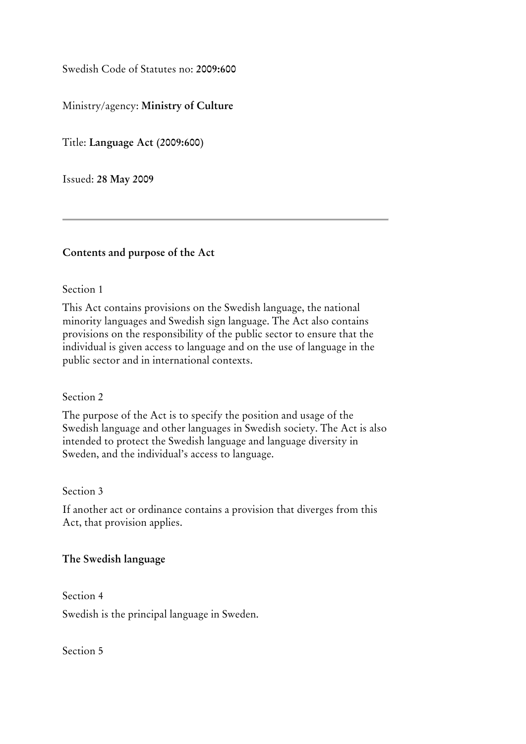Swedish Code of Statutes no: **2009:600**

# Ministry/agency: **Ministry of Culture**

Title: **Language Act (2009:600)**

Issued: **28 May 2009**

## **Contents and purpose of the Act**

### Section 1

This Act contains provisions on the Swedish language, the national minority languages and Swedish sign language. The Act also contains provisions on the responsibility of the public sector to ensure that the individual is given access to language and on the use of language in the public sector and in international contexts.

### Section 2

The purpose of the Act is to specify the position and usage of the Swedish language and other languages in Swedish society. The Act is also intended to protect the Swedish language and language diversity in Sweden, and the individual's access to language.

### Section 3

If another act or ordinance contains a provision that diverges from this Act, that provision applies.

## **The Swedish language**

Section 4 Swedish is the principal language in Sweden.

Section 5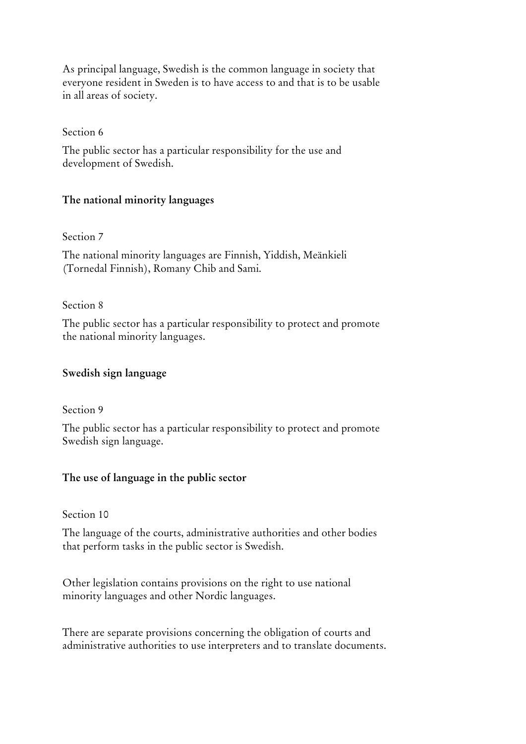As principal language, Swedish is the common language in society that everyone resident in Sweden is to have access to and that is to be usable in all areas of society.

## Section 6

The public sector has a particular responsibility for the use and development of Swedish.

# **The national minority languages**

### Section 7

The national minority languages are Finnish, Yiddish, Meänkieli (Tornedal Finnish), Romany Chib and Sami.

## Section 8

The public sector has a particular responsibility to protect and promote the national minority languages.

## **Swedish sign language**

### Section 9

The public sector has a particular responsibility to protect and promote Swedish sign language.

## **The use of language in the public sector**

### Section 10

The language of the courts, administrative authorities and other bodies that perform tasks in the public sector is Swedish.

Other legislation contains provisions on the right to use national minority languages and other Nordic languages.

There are separate provisions concerning the obligation of courts and administrative authorities to use interpreters and to translate documents.